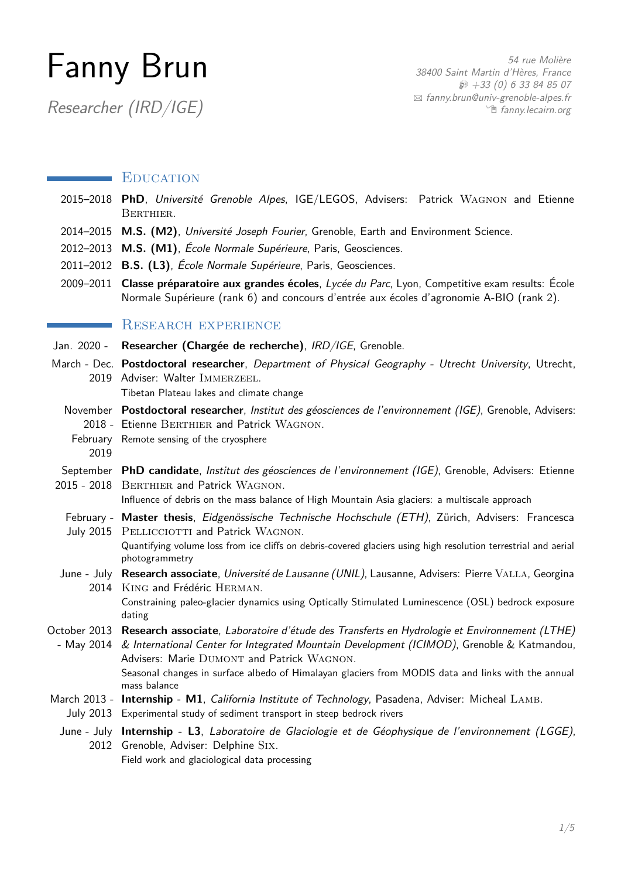# Fanny Brun

Researcher (IRD/IGE)

## **EDUCATION**

- 2015–2018 PhD, Université Grenoble Alpes, IGE/LEGOS, Advisers: Patrick WAGNON and Etienne Berthier.
- 2014–2015 **M.S. (M2)**, Université Joseph Fourier, Grenoble, Earth and Environment Science.
- 2012–2013 **M.S. (M1)**, École Normale Supérieure, Paris, Geosciences.
- 2011–2012 **B.S. (L3)**, École Normale Supérieure, Paris, Geosciences.
- 2009–2011 **Classe préparatoire aux grandes écoles**, Lycée du Parc, Lyon, Competitive exam results: École Normale Supérieure (rank 6) and concours d'entrée aux écoles d'agronomie A-BIO (rank 2).

# RESEARCH EXPERIENCE

- Jan. 2020 **Researcher (Chargée de recherche)**, IRD/IGE, Grenoble.
- March Dec. **Postdoctoral researcher**, Department of Physical Geography Utrecht University, Utrecht, 2019 Adviser: Walter IMMERZEEL. Tibetan Plateau lakes and climate change
	- November **Postdoctoral researcher**, Institut des géosciences de l'environnement (IGE), Grenoble, Advisers: 2018 - Etienne BERTHIER and Patrick WAGNON.
	- February Remote sensing of the cryosphere 2019
- September **PhD candidate**, Institut des géosciences de l'environnement (IGE), Grenoble, Advisers: Etienne 2015 - 2018 BERTHIER and Patrick WAGNON.

Influence of debris on the mass balance of High Mountain Asia glaciers: a multiscale approach

February - **Master thesis**, Eidgenössische Technische Hochschule (ETH), Zürich, Advisers: Francesca July 2015 PELLICCIOTTI and Patrick WAGNON.

Quantifying volume loss from ice cliffs on debris-covered glaciers using high resolution terrestrial and aerial photogrammetry

June - July **Research associate**, Université de Lausanne (UNIL), Lausanne, Advisers: Pierre Valla, Georgina 2014 King and Frédéric Herman.

> Constraining paleo-glacier dynamics using Optically Stimulated Luminescence (OSL) bedrock exposure dating

- October 2013 **Research associate**, Laboratoire d'étude des Transferts en Hydrologie et Environnement (LTHE)
- May 2014 & International Center for Integrated Mountain Development (ICIMOD), Grenoble & Katmandou, Advisers: Marie DUMONT and Patrick WAGNON. Seasonal changes in surface albedo of Himalayan glaciers from MODIS data and links with the annual mass balance
- March 2013 Internship M1, California Institute of Technology, Pasadena, Adviser: Micheal LAMB.
- July 2013 Experimental study of sediment transport in steep bedrock rivers
- June July **Internship L3**, Laboratoire de Glaciologie et de Géophysique de l'environnement (LGGE), 2012 Grenoble, Adviser: Delphine Six.

Field work and glaciological data processing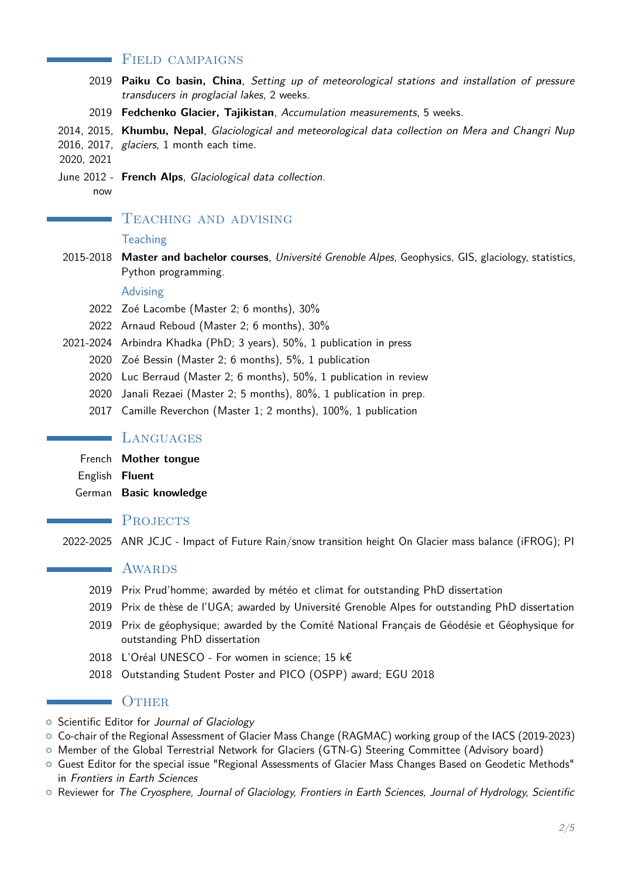### FIELD CAMPAIGNS

- 2019 **Paiku Co basin, China**, Setting up of meteorological stations and installation of pressure transducers in proglacial lakes, 2 weeks.
- 2019 **Fedchenko Glacier, Tajikistan**, Accumulation measurements, 5 weeks.

2014, 2015, **Khumbu, Nepal**, Glaciological and meteorological data collection on Mera and Changri Nup

2016, 2017, glaciers, 1 month each time.

2020, 2021

a sa salawan

- June 2012 **French Alps**, Glaciological data collection.
	- now

## TEACHING AND ADVISING

#### **Teaching**

2015-2018 **Master and bachelor courses**, Université Grenoble Alpes, Geophysics, GIS, glaciology, statistics, Python programming.

#### Advising

- 2022 Zoé Lacombe (Master 2; 6 months), 30%
- 2022 Arnaud Reboud (Master 2; 6 months), 30%
- 2021-2024 Arbindra Khadka (PhD; 3 years), 50%, 1 publication in press
	- 2020 Zoé Bessin (Master 2; 6 months), 5%, 1 publication
	- 2020 Luc Berraud (Master 2; 6 months), 50%, 1 publication in review
	- 2020 Janali Rezaei (Master 2; 5 months), 80%, 1 publication in prep.
	- 2017 Camille Reverchon (Master 1; 2 months), 100%, 1 publication

#### **LANGUAGES**

- French **Mother tongue**
- English **Fluent**
- German **Basic knowledge**

# **PROJECTS**

2022-2025 ANR JCJC - Impact of Future Rain/snow transition height On Glacier mass balance (iFROG); PI

## AWARDS

- 2019 Prix Prud'homme; awarded by météo et climat for outstanding PhD dissertation
- 2019 Prix de thèse de l'UGA; awarded by Université Grenoble Alpes for outstanding PhD dissertation
- 2019 Prix de géophysique; awarded by the Comité National Français de Géodésie et Géophysique for outstanding PhD dissertation
- 2018 L'Oréal UNESCO For women in science; 15 k€
- 2018 Outstanding Student Poster and PICO (OSPP) award; EGU 2018

## **OTHER**

- o Scientific Editor for Journal of Glaciology
- { Co-chair of the Regional Assessment of Glacier Mass Change (RAGMAC) working group of the IACS (2019-2023)
- { Member of the Global Terrestrial Network for Glaciers (GTN-G) Steering Committee (Advisory board)
- { Guest Editor for the special issue "Regional Assessments of Glacier Mass Changes Based on Geodetic Methods" in Frontiers in Earth Sciences
- $\circ$  Reviewer for The Cryosphere, Journal of Glaciology, Frontiers in Earth Sciences, Journal of Hydrology, Scientific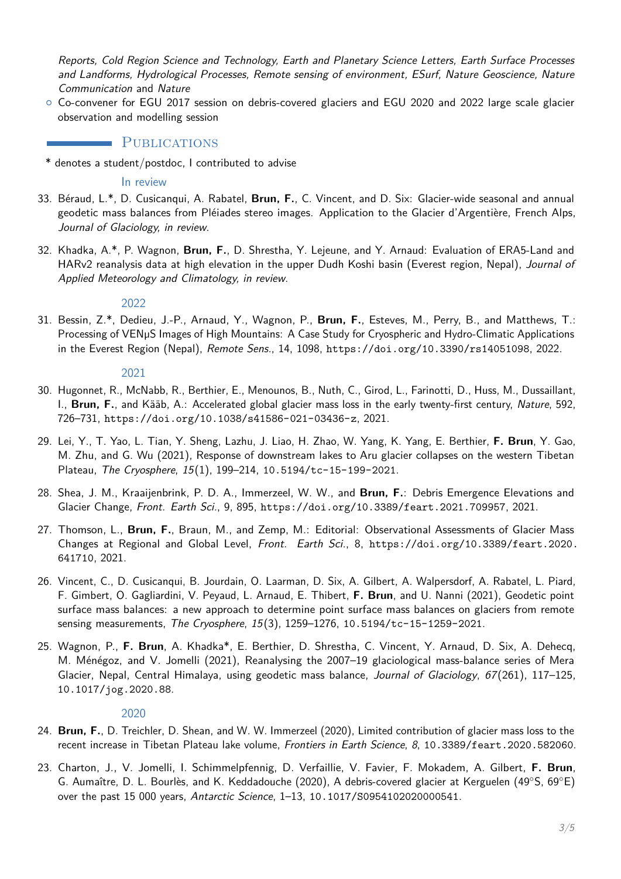Reports, Cold Region Science and Technology, Earth and Planetary Science Letters, Earth Surface Processes and Landforms, Hydrological Processes, Remote sensing of environment, ESurf, Nature Geoscience, Nature Communication and Nature

 $\circ$  Co-convener for EGU 2017 session on debris-covered glaciers and EGU 2020 and 2022 large scale glacier observation and modelling session

## **PUBLICATIONS**

\* denotes a student/postdoc, I contributed to advise

In review

- 33. Béraud, L.\*, D. Cusicanqui, A. Rabatel, **Brun, F.**, C. Vincent, and D. Six: Glacier-wide seasonal and annual geodetic mass balances from Pléiades stereo images. Application to the Glacier d'Argentière, French Alps, Journal of Glaciology, in review.
- 32. Khadka, A.\*, P. Wagnon, **Brun, F.**, D. Shrestha, Y. Lejeune, and Y. Arnaud: Evaluation of ERA5-Land and HARv2 reanalysis data at high elevation in the upper Dudh Koshi basin (Everest region, Nepal), Journal of Applied Meteorology and Climatology, in review.

#### 2022

31. Bessin, Z.\*, Dedieu, J.-P., Arnaud, Y., Wagnon, P., **Brun, F.**, Esteves, M., Perry, B., and Matthews, T.: Processing of VENµS Images of High Mountains: A Case Study for Cryospheric and Hydro-Climatic Applications in the Everest Region (Nepal), Remote Sens., 14, 1098, <https://doi.org/10.3390/rs14051098>, 2022.

#### 2021

- 30. Hugonnet, R., McNabb, R., Berthier, E., Menounos, B., Nuth, C., Girod, L., Farinotti, D., Huss, M., Dussaillant, I., **Brun, F.**, and Kääb, A.: Accelerated global glacier mass loss in the early twenty-first century, Nature, 592, 726–731, <https://doi.org/10.1038/s41586-021-03436-z>, 2021.
- 29. Lei, Y., T. Yao, L. Tian, Y. Sheng, Lazhu, J. Liao, H. Zhao, W. Yang, K. Yang, E. Berthier, **F. Brun**, Y. Gao, M. Zhu, and G. Wu (2021), Response of downstream lakes to Aru glacier collapses on the western Tibetan Plateau, The Cryosphere, 15(1), 199–214, [10.5194/tc-15-199-2021](http://10.5194/tc-15-199-2021).
- 28. Shea, J. M., Kraaijenbrink, P. D. A., Immerzeel, W. W., and **Brun, F.**: Debris Emergence Elevations and Glacier Change, Front. Earth Sci., 9, 895, <https://doi.org/10.3389/feart.2021.709957>, 2021.
- 27. Thomson, L., **Brun, F.**, Braun, M., and Zemp, M.: Editorial: Observational Assessments of Glacier Mass Changes at Regional and Global Level, Front. Earth Sci., 8, [https://doi.org/10.3389/feart.2020.](https://doi.org/10.3389/feart.2020.641710) [641710](https://doi.org/10.3389/feart.2020.641710), 2021.
- 26. Vincent, C., D. Cusicanqui, B. Jourdain, O. Laarman, D. Six, A. Gilbert, A. Walpersdorf, A. Rabatel, L. Piard, F. Gimbert, O. Gagliardini, V. Peyaud, L. Arnaud, E. Thibert, **F. Brun**, and U. Nanni (2021), Geodetic point surface mass balances: a new approach to determine point surface mass balances on glaciers from remote sensing measurements, The Cryosphere, 15(3), 1259-1276, [10.5194/tc-15-1259-2021](http://10.5194/tc-15-1259-2021).
- 25. Wagnon, P., **F. Brun**, A. Khadka\*, E. Berthier, D. Shrestha, C. Vincent, Y. Arnaud, D. Six, A. Dehecq, M. Ménégoz, and V. Jomelli (2021), Reanalysing the 2007–19 glaciological mass-balance series of Mera Glacier, Nepal, Central Himalaya, using geodetic mass balance, Journal of Glaciology, 67(261), 117-125, [10.1017/jog.2020.88](http://10.1017/jog.2020.88).

#### 2020

- 24. **Brun, F.**, D. Treichler, D. Shean, and W. W. Immerzeel (2020), Limited contribution of glacier mass loss to the recent increase in Tibetan Plateau lake volume, Frontiers in Earth Science, 8, [10.3389/feart.2020.582060](http://10.3389/feart.2020.582060).
- 23. Charton, J., V. Jomelli, I. Schimmelpfennig, D. Verfaillie, V. Favier, F. Mokadem, A. Gilbert, **F. Brun**, G. Aumaître, D. L. Bourlès, and K. Keddadouche (2020), A debris-covered glacier at Kerguelen (49◦S, 69◦E) over the past 15 000 years, Antarctic Science, 1–13, [10.1017/S0954102020000541](http://10.1017/S0954102020000541).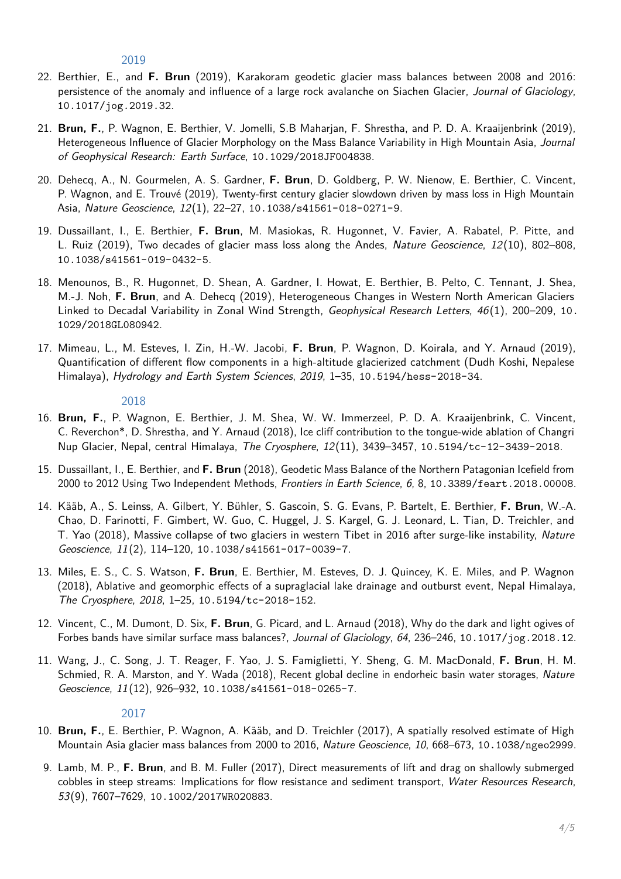2019

- 22. Berthier, E., and **F. Brun** (2019), Karakoram geodetic glacier mass balances between 2008 and 2016: persistence of the anomaly and influence of a large rock avalanche on Siachen Glacier, Journal of Glaciology, [10.1017/jog.2019.32](http://10.1017/jog.2019.32).
- 21. **Brun, F.**, P. Wagnon, E. Berthier, V. Jomelli, S.B Maharjan, F. Shrestha, and P. D. A. Kraaijenbrink (2019), Heterogeneous Influence of Glacier Morphology on the Mass Balance Variability in High Mountain Asia, Journal of Geophysical Research: Earth Surface, [10.1029/2018JF004838](http://10.1029/2018JF004838).
- 20. Dehecq, A., N. Gourmelen, A. S. Gardner, **F. Brun**, D. Goldberg, P. W. Nienow, E. Berthier, C. Vincent, P. Wagnon, and E. Trouvé (2019), Twenty-first century glacier slowdown driven by mass loss in High Mountain Asia, Nature Geoscience, 12(1), 22–27, [10.1038/s41561-018-0271-9](http://10.1038/s41561-018-0271-9).
- 19. Dussaillant, I., E. Berthier, **F. Brun**, M. Masiokas, R. Hugonnet, V. Favier, A. Rabatel, P. Pitte, and L. Ruiz (2019), Two decades of glacier mass loss along the Andes, Nature Geoscience, 12(10), 802–808, [10.1038/s41561-019-0432-5](http://10.1038/s41561-019-0432-5).
- 18. Menounos, B., R. Hugonnet, D. Shean, A. Gardner, I. Howat, E. Berthier, B. Pelto, C. Tennant, J. Shea, M.-J. Noh, **F. Brun**, and A. Dehecq (2019), Heterogeneous Changes in Western North American Glaciers Linked to Decadal Variability in Zonal Wind Strength, Geophysical Research Letters, 46(1), 200–209, [10.](http://10.1029/2018GL080942) [1029/2018GL080942](http://10.1029/2018GL080942).
- 17. Mimeau, L., M. Esteves, I. Zin, H.-W. Jacobi, **F. Brun**, P. Wagnon, D. Koirala, and Y. Arnaud (2019), Quantification of different flow components in a high-altitude glacierized catchment (Dudh Koshi, Nepalese Himalaya), Hydrology and Earth System Sciences, 2019, 1-35, [10.5194/hess-2018-34](http://10.5194/hess-2018-34).

#### 2018

- 16. **Brun, F.**, P. Wagnon, E. Berthier, J. M. Shea, W. W. Immerzeel, P. D. A. Kraaijenbrink, C. Vincent, C. Reverchon\*, D. Shrestha, and Y. Arnaud (2018), Ice cliff contribution to the tongue-wide ablation of Changri Nup Glacier, Nepal, central Himalaya, The Cryosphere, 12(11), 3439–3457, [10.5194/tc-12-3439-2018](http://10.5194/tc-12-3439-2018).
- 15. Dussaillant, I., E. Berthier, and **F. Brun** (2018), Geodetic Mass Balance of the Northern Patagonian Icefield from 2000 to 2012 Using Two Independent Methods, Frontiers in Earth Science, 6, 8, [10.3389/feart.2018.00008](http://10.3389/feart.2018.00008).
- 14. Kääb, A., S. Leinss, A. Gilbert, Y. Bühler, S. Gascoin, S. G. Evans, P. Bartelt, E. Berthier, **F. Brun**, W.-A. Chao, D. Farinotti, F. Gimbert, W. Guo, C. Huggel, J. S. Kargel, G. J. Leonard, L. Tian, D. Treichler, and T. Yao (2018), Massive collapse of two glaciers in western Tibet in 2016 after surge-like instability, Nature Geoscience, 11(2), 114–120, [10.1038/s41561-017-0039-7](http://10.1038/s41561-017-0039-7).
- 13. Miles, E. S., C. S. Watson, **F. Brun**, E. Berthier, M. Esteves, D. J. Quincey, K. E. Miles, and P. Wagnon (2018), Ablative and geomorphic effects of a supraglacial lake drainage and outburst event, Nepal Himalaya, The Cryosphere, 2018, 1–25, [10.5194/tc-2018-152](http://10.5194/tc-2018-152).
- 12. Vincent, C., M. Dumont, D. Six, **F. Brun**, G. Picard, and L. Arnaud (2018), Why do the dark and light ogives of Forbes bands have similar surface mass balances?, Journal of Glaciology, 64, 236–246, [10.1017/jog.2018.12](http://10.1017/jog.2018.12).
- 11. Wang, J., C. Song, J. T. Reager, F. Yao, J. S. Famiglietti, Y. Sheng, G. M. MacDonald, **F. Brun**, H. M. Schmied, R. A. Marston, and Y. Wada (2018), Recent global decline in endorheic basin water storages, Nature Geoscience, 11(12), 926–932, [10.1038/s41561-018-0265-7](http://10.1038/s41561-018-0265-7).

#### 2017

- 10. **Brun, F.**, E. Berthier, P. Wagnon, A. Kääb, and D. Treichler (2017), A spatially resolved estimate of High Mountain Asia glacier mass balances from 2000 to 2016, Nature Geoscience, 10, 668-673, [10.1038/ngeo2999](http://10.1038/ngeo2999).
- 9. Lamb, M. P., **F. Brun**, and B. M. Fuller (2017), Direct measurements of lift and drag on shallowly submerged cobbles in steep streams: Implications for flow resistance and sediment transport, Water Resources Research, 53(9), 7607–7629, [10.1002/2017WR020883](http://10.1002/2017WR020883).